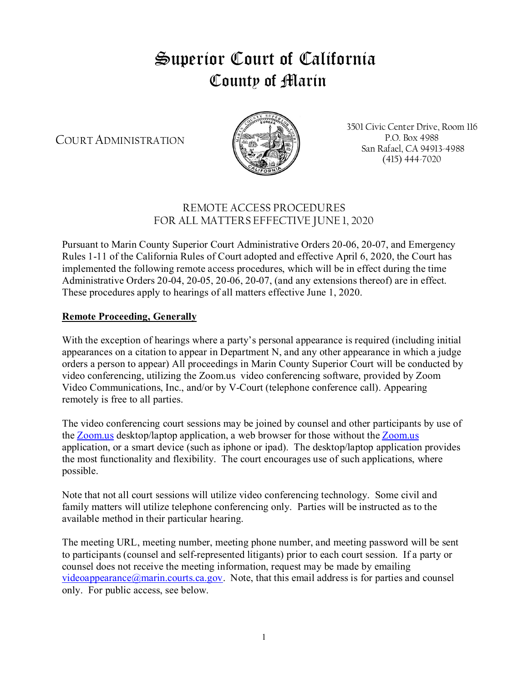# Superior Court of California County of Marin

COURT ADMINISTRATION



3501 Civic Center Drive, Room 116 P.O. Box 4988 San Rafael, CA 94913-4988 (415) 444-7020

# REMOTE ACCESS PROCEDURES FOR ALL MATTERS EFFECTIVE JUNE 1, 2020

Pursuant to Marin County Superior Court Administrative Orders 20-06, 20-07, and Emergency Rules 1-11 of the California Rules of Court adopted and effective April 6, 2020, the Court has implemented the following remote access procedures, which will be in effect during the time Administrative Orders 20-04, 20-05, 20-06, 20-07, (and any extensions thereof) are in effect. These procedures apply to hearings of all matters effective June 1, 2020.

## **Remote Proceeding, Generally**

With the exception of hearings where a party's personal appearance is required (including initial appearances on a citation to appear in Department N, and any other appearance in which a judge orders a person to appear) All proceedings in Marin County Superior Court will be conducted by video conferencing, utilizing the Zoom.us video conferencing software, provided by Zoom Video Communications, Inc., and/or by V-Court (telephone conference call). Appearing remotely is free to all parties.

The video conferencing court sessions may be joined by counsel and other participants by use of the [Zoom.us](http://zoom.us/) desktop/laptop application, a web browser for those without the Zoom.us application, or a smart device (such as iphone or ipad). The desktop/laptop application provides the most functionality and flexibility. The court encourages use of such applications, where possible.

Note that not all court sessions will utilize video conferencing technology. Some civil and family matters will utilize telephone conferencing only. Parties will be instructed as to the available method in their particular hearing.

The meeting URL, meeting number, meeting phone number, and meeting password will be sent to participants (counsel and self-represented litigants) prior to each court session. If a party or counsel does not receive the meeting information, request may be made by emailing videoappearance $(\partial)$  marin.courts.ca.gov. Note, that this email address is for parties and counsel only. For public access, see below.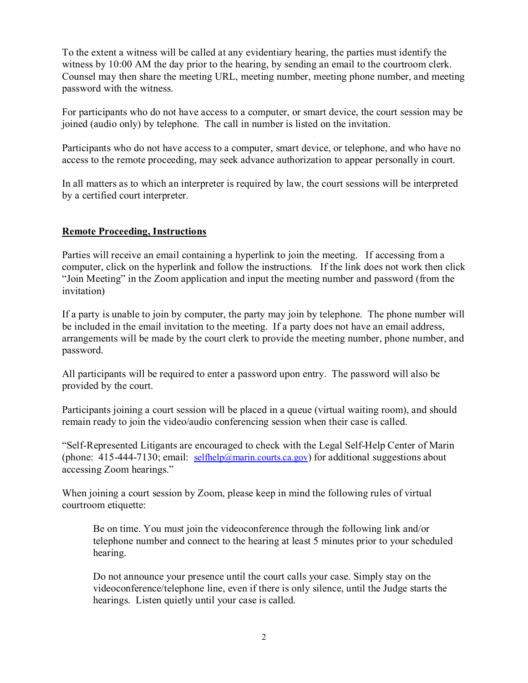To the extent a witness will be called at any evidentiary hearing, the parties must identify the witness by 10:00 AM the day prior to the hearing, by sending an email to the courtroom clerk. Counsel may then share the meeting URL, meeting number, meeting phone number, and meeting password with the witness.

For participants who do not have access to a computer, or smart device, the court session may be joined (audio only) by telephone. The call in number is listed on the invitation.

Participants who do not have access to a computer, smart device, or telephone, and who have no access to the remote proceeding, may seek advance authorization to appear personally in court.

In all matters as to which an interpreter is required by law, the court sessions will be interpreted by a certified court interpreter.

#### **Remote Proceeding, Instructions**

Parties will receive an email containing a hyperlink to join the meeting. If accessing from a computer, click on the hyperlink and follow the instructions. If the link does not work then click "Join Meeting" in the Zoom application and input the meeting number and password (from the invitation)

If a party is unable to join by computer, the party may join by telephone. The phone number will be included in the email invitation to the meeting. If a party does not have an email address, arrangements will be made by the court clerk to provide the meeting number, phone number, and password.

All participants will be required to enter a password upon entry. The password will also be provided by the court.

Participants joining a court session will be placed in a queue (virtual waiting room), and should remain ready to join the video/audio conferencing session when their case is called.

"Self-Represented Litigants are encouraged to check with the Legal Self-Help Center of Marin (phone:  $415-444-7130$ ; email: [selfhelp@marin.courts.ca.gov](https://mail2.marincourt.org/owa/redir.aspx?C=321wPaLranlN0ebHzcIwkxFoOVxqFPIl_d7VLKcH5FGI5wtnvPrXCA..&URL=mailto%3aselfhelp%40marin.courts.ca.gov)) for additional suggestions about accessing Zoom hearings."

When joining a court session by Zoom, please keep in mind the following rules of virtual courtroom etiquette:

Be on time. You must join the videoconference through the following link and/or telephone number and connect to the hearing at least 5 minutes prior to your scheduled hearing.

Do not announce your presence until the court calls your case. Simply stay on the videoconference/telephone line, even if there is only silence, until the Judge starts the hearings. Listen quietly until your case is called.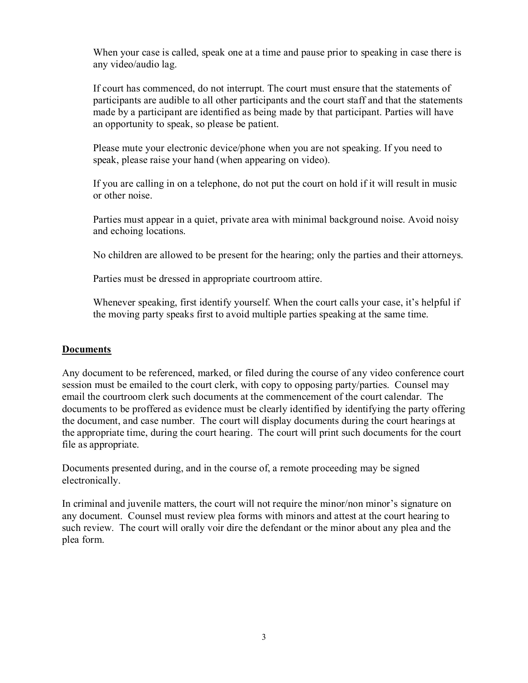When your case is called, speak one at a time and pause prior to speaking in case there is any video/audio lag.

If court has commenced, do not interrupt. The court must ensure that the statements of participants are audible to all other participants and the court staff and that the statements made by a participant are identified as being made by that participant. Parties will have an opportunity to speak, so please be patient.

Please mute your electronic device/phone when you are not speaking. If you need to speak, please raise your hand (when appearing on video).

If you are calling in on a telephone, do not put the court on hold if it will result in music or other noise.

Parties must appear in a quiet, private area with minimal background noise. Avoid noisy and echoing locations.

No children are allowed to be present for the hearing; only the parties and their attorneys.

Parties must be dressed in appropriate courtroom attire.

Whenever speaking, first identify yourself. When the court calls your case, it's helpful if the moving party speaks first to avoid multiple parties speaking at the same time.

#### **Documents**

Any document to be referenced, marked, or filed during the course of any video conference court session must be emailed to the court clerk, with copy to opposing party/parties. Counsel may email the courtroom clerk such documents at the commencement of the court calendar. The documents to be proffered as evidence must be clearly identified by identifying the party offering the document, and case number. The court will display documents during the court hearings at the appropriate time, during the court hearing. The court will print such documents for the court file as appropriate.

Documents presented during, and in the course of, a remote proceeding may be signed electronically.

In criminal and juvenile matters, the court will not require the minor/non minor's signature on any document. Counsel must review plea forms with minors and attest at the court hearing to such review. The court will orally voir dire the defendant or the minor about any plea and the plea form.